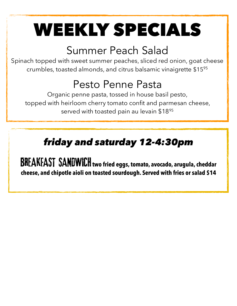# WEEKLY SPECIALS

### Summer Peach Salad

Spinach topped with sweet summer peaches, sliced red onion, goat cheese crumbles, toasted almonds, and citrus balsamic vinaigrette \$1595

### Pesto Penne Pasta

Organic penne pasta, tossed in house basil pesto, topped with heirloom cherry tomato confit and parmesan cheese, served with toasted pain au levain \$1895

#### *friday and saturday 12-4:30pm*

BREAKFAST SANDWICH **two fried eggs, tomato, avocado, arugula, cheddar cheese, and chipotle aioli on toasted sourdough. Served with fries or salad \$14**